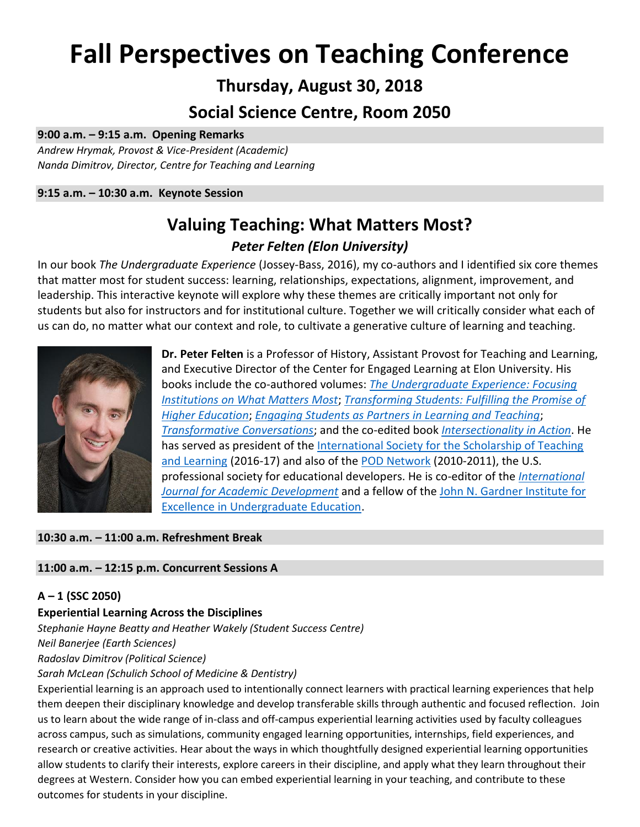# **Fall Perspectives on Teaching Conference**

# **Thursday, August 30, 2018**

# **Social Science Centre, Room 2050**

#### **9:00 a.m. – 9:15 a.m. Opening Remarks**

*Andrew Hrymak, Provost & Vice-President (Academic) Nanda Dimitrov, Director, Centre for Teaching and Learning*

**9:15 a.m. – 10:30 a.m. Keynote Session**

# **Valuing Teaching: What Matters Most?** *Peter Felten (Elon University)*

In our book *The Undergraduate Experience* (Jossey-Bass, 2016), my co-authors and I identified six core themes that matter most for student success: learning, relationships, expectations, alignment, improvement, and leadership. This interactive keynote will explore why these themes are critically important not only for students but also for instructors and for institutional culture. Together we will critically consider what each of us can do, no matter what our context and role, to cultivate a generative culture of learning and teaching.



**Dr. Peter Felten** is a Professor of History, Assistant Provost for Teaching and Learning, and Executive Director of the Center for Engaged Learning at Elon University. His books include the co-authored volumes: *[The Undergraduate Experience: Focusing](http://theundergraduateexperience.org/)  [Institutions on What Matters Most](http://theundergraduateexperience.org/)*; *[Transforming Students: Fulfilling the Promise of](https://jhupbooks.press.jhu.edu/content/transforming-students)  [Higher Education](https://jhupbooks.press.jhu.edu/content/transforming-students)*; *[Engaging Students as Partners in Learning and Teaching](http://www.wiley.com/WileyCDA/WileyTitle/productCd-1118434587.html)*; *[Transformative Conversations](http://www.wiley.com/WileyCDA/WileyTitle/productCd-1118288270.html)*; and the co-edited book *[Intersectionality in Action](https://sty.presswarehouse.com/books/BookDetail.aspx?productID=441434)*. He has served as president of the International Society for the Scholarship of Teaching [and Learning](http://www.issotl.com/issotl15/) (2016-17) and also of the [POD Network](https://podnetwork.org/) (2010-2011), the U.S. professional society for educational developers. He is co-editor of the *[International](http://www.tandfonline.com/toc/rija20/current)  [Journal for Academic Development](http://www.tandfonline.com/toc/rija20/current)* and a fellow of the [John N. Gardner Institute for](http://www.jngi.org/)  [Excellence in Undergraduate Education.](http://www.jngi.org/)

# **10:30 a.m. – 11:00 a.m. Refreshment Break**

# **11:00 a.m. – 12:15 p.m. Concurrent Sessions A**

# **A – 1 (SSC 2050)**

# **Experiential Learning Across the Disciplines**

*Stephanie Hayne Beatty and Heather Wakely (Student Success Centre)*

*Neil Banerjee (Earth Sciences)*

#### *Radoslav Dimitrov (Political Science)*

#### *Sarah McLean (Schulich School of Medicine & Dentistry)*

Experiential learning is an approach used to intentionally connect learners with practical learning experiences that help them deepen their disciplinary knowledge and develop transferable skills through authentic and focused reflection. Join us to learn about the wide range of in-class and off-campus experiential learning activities used by faculty colleagues across campus, such as simulations, community engaged learning opportunities, internships, field experiences, and research or creative activities. Hear about the ways in which thoughtfully designed experiential learning opportunities allow students to clarify their interests, explore careers in their discipline, and apply what they learn throughout their degrees at Western. Consider how you can embed experiential learning in your teaching, and contribute to these outcomes for students in your discipline.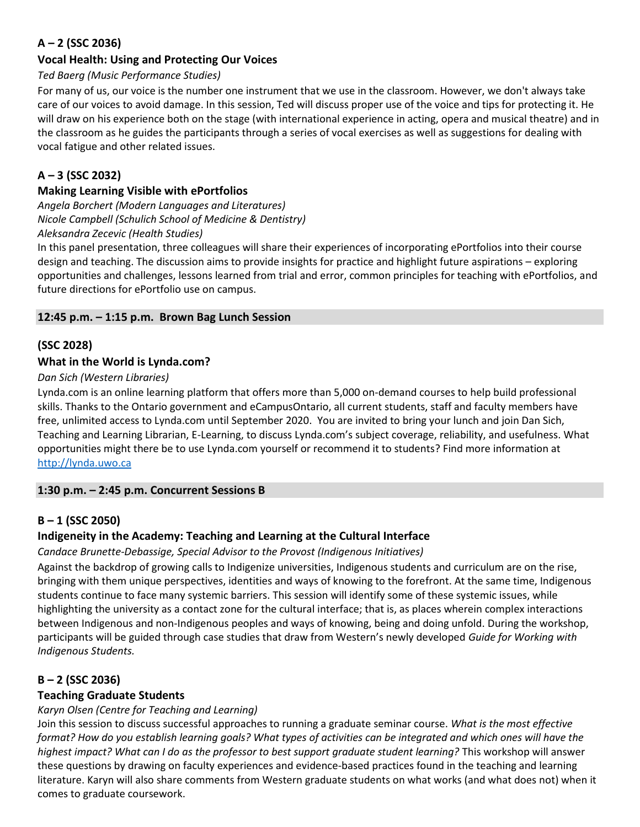# **A – 2 (SSC 2036)**

# **Vocal Health: Using and Protecting Our Voices**

# *Ted Baerg (Music Performance Studies)*

For many of us, our voice is the number one instrument that we use in the classroom. However, we don't always take care of our voices to avoid damage. In this session, Ted will discuss proper use of the voice and tips for protecting it. He will draw on his experience both on the stage (with international experience in acting, opera and musical theatre) and in the classroom as he guides the participants through a series of vocal exercises as well as suggestions for dealing with vocal fatigue and other related issues.

# **A – 3 (SSC 2032)**

#### **Making Learning Visible with ePortfolios**

*Angela Borchert (Modern Languages and Literatures) Nicole Campbell (Schulich School of Medicine & Dentistry) Aleksandra Zecevic (Health Studies)*

In this panel presentation, three colleagues will share their experiences of incorporating ePortfolios into their course design and teaching. The discussion aims to provide insights for practice and highlight future aspirations – exploring opportunities and challenges, lessons learned from trial and error, common principles for teaching with ePortfolios, and future directions for ePortfolio use on campus.

#### **12:45 p.m. – 1:15 p.m. Brown Bag Lunch Session**

# **(SSC 2028)**

#### **What in the World is Lynda.com?**

*Dan Sich (Western Libraries)*

Lynda.com is an online learning platform that offers more than 5,000 on-demand courses to help build professional skills. Thanks to the Ontario government and eCampusOntario, all current students, staff and faculty members have free, unlimited access to Lynda.com until September 2020. You are invited to bring your lunch and join Dan Sich, Teaching and Learning Librarian, E-Learning, to discuss Lynda.com's subject coverage, reliability, and usefulness. What opportunities might there be to use Lynda.com yourself or recommend it to students? Find more information at [http://lynda.uwo.ca](http://lynda.uwo.ca/)

# **1:30 p.m. – 2:45 p.m. Concurrent Sessions B**

# **B – 1 (SSC 2050)**

# **Indigeneity in the Academy: Teaching and Learning at the Cultural Interface**

#### *Candace Brunette-Debassige, Special Advisor to the Provost (Indigenous Initiatives)*

Against the backdrop of growing calls to Indigenize universities, Indigenous students and curriculum are on the rise, bringing with them unique perspectives, identities and ways of knowing to the forefront. At the same time, Indigenous students continue to face many systemic barriers. This session will identify some of these systemic issues, while highlighting the university as a contact zone for the cultural interface; that is, as places wherein complex interactions between Indigenous and non-Indigenous peoples and ways of knowing, being and doing unfold. During the workshop, participants will be guided through case studies that draw from Western's newly developed *Guide for Working with Indigenous Students.*

# **B – 2 (SSC 2036)**

# **Teaching Graduate Students**

# *Karyn Olsen (Centre for Teaching and Learning)*

Join this session to discuss successful approaches to running a graduate seminar course. *What is the most effective format? How do you establish learning goals? What types of activities can be integrated and which ones will have the highest impact? What can I do as the professor to best support graduate student learning?* This workshop will answer these questions by drawing on faculty experiences and evidence-based practices found in the teaching and learning literature. Karyn will also share comments from Western graduate students on what works (and what does not) when it comes to graduate coursework.